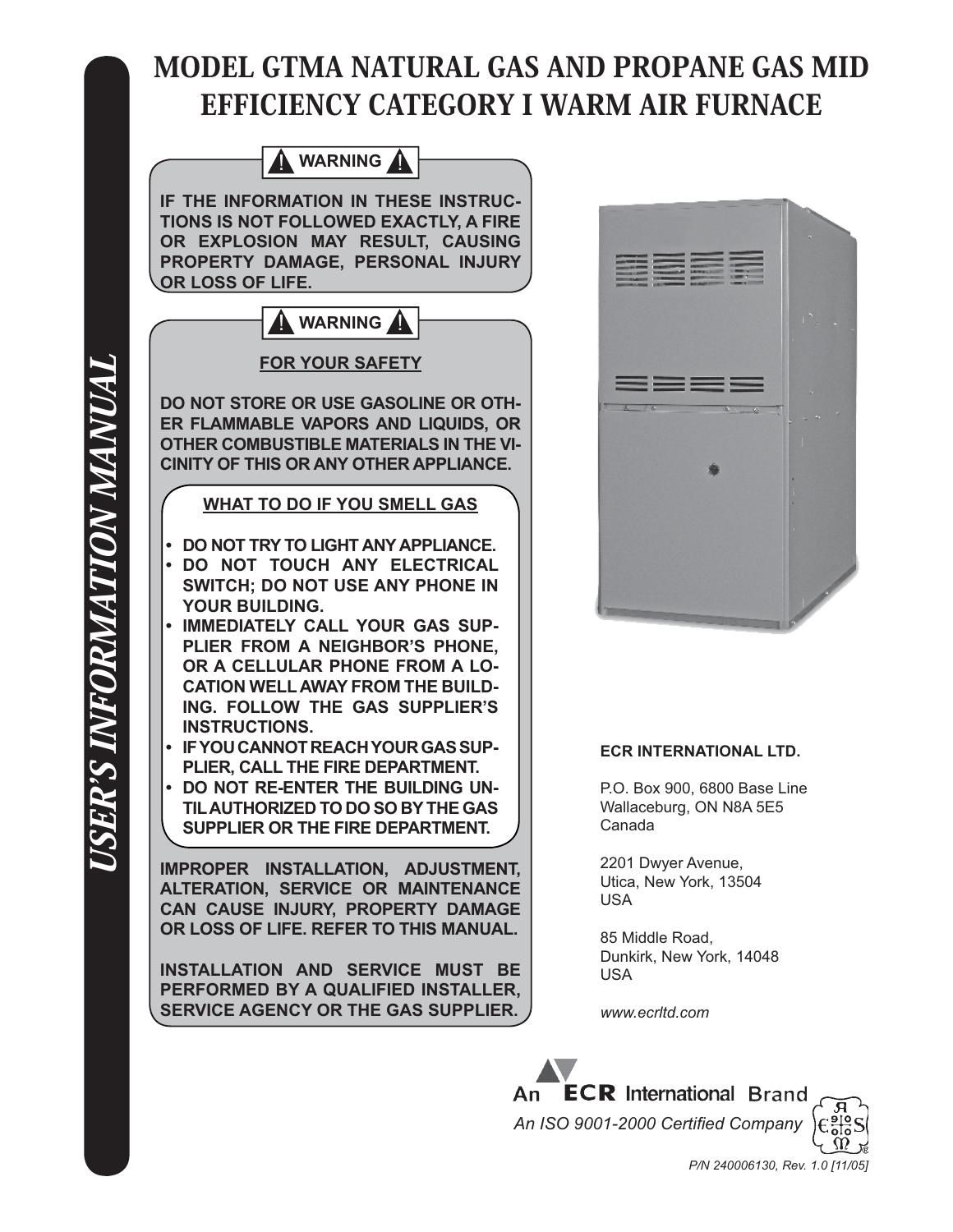# MODEL GTMA NATURAL GAS AND PROPANE GAS MID EFFICIENCY CATEGORY I WARM AIR FURNACE





#### **ECR INTERNATIONAL LTD.**

P.O. Box 900, 6800 Base Line Wallaceburg, ON N8A 5E5 Canada

2201 Dwyer Avenue, Utica, New York, 13504 USA

85 Middle Road, Dunkirk, New York, 14048 USA

*www.ecrltd.com*



USER'S INFORMATION MANUAL *ISER'S INFORMATION MANUAL*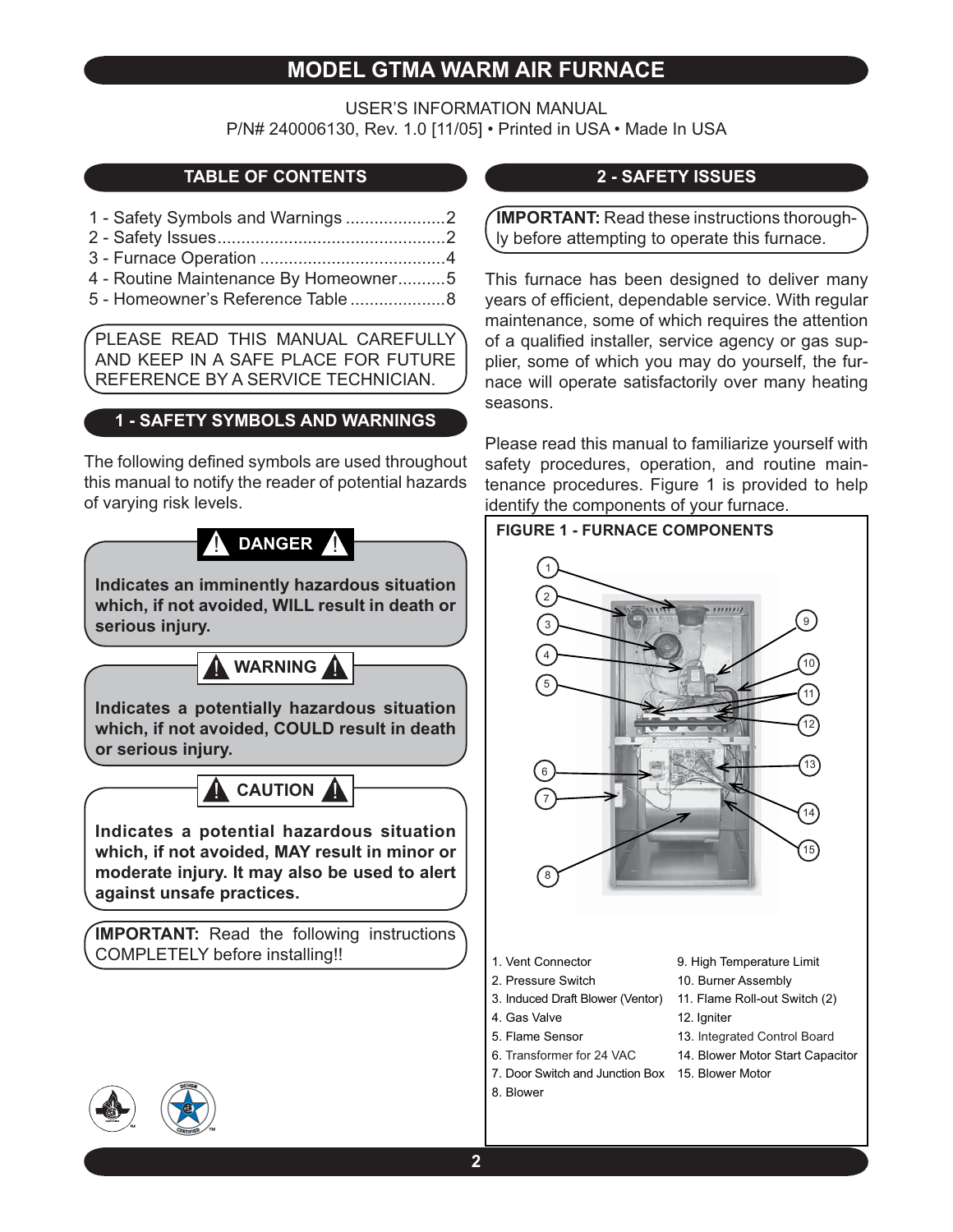## **MODEL GTMA WARM AIR FURNACE**

USER'S INFORMATION MANUAL P/N# 240006130, Rev. 1.0 [11/05] • Printed in USA • Made In USA

## **TABLE OF CONTENTS**

- 1 Safety Symbols and Warnings .....................2
- 2 Safety Issues ................................................2
- 3 Furnace Operation .......................................4
- 4 Routine Maintenance By Homeowner ..........5
- 5 Homeowner's Reference Table ....................8

PLEASE READ THIS MANUAL CAREFULLY AND KEEP IN A SAFE PLACE FOR FUTURE REFERENCE BY A SERVICE TECHNICIAN.

## **1 - SAFETY SYMBOLS AND WARNINGS**

The following defined symbols are used throughout this manual to notify the reader of potential hazards of varying risk levels.

# **A** DANGER A

**Indicates an imminently hazardous situation which, if not avoided, WILL result in death or serious injury.**

**WARNING** 

**Indicates a potentially hazardous situation which, if not avoided, COULD result in death or serious injury.**

**CAUTION** 

**Indicates a potential hazardous situation which, if not avoided, MAY result in minor or moderate injury. It may also be used to alert against unsafe practices.**

**IMPORTANT:** Read the following instructions COMPLETELY before installing!!

## **2 - SAFETY ISSUES**

**IMPORTANT:** Read these instructions thoroughly before attempting to operate this furnace.

This furnace has been designed to deliver many years of efficient, dependable service. With regular maintenance, some of which requires the attention of a qualified installer, service agency or gas supplier, some of which you may do yourself, the furnace will operate satisfactorily over many heating seasons.

Please read this manual to familiarize yourself with safety procedures, operation, and routine maintenance procedures. Figure 1 is provided to help identify the components of your furnace.



- 1. Vent Connector
- 2. Pressure Switch
- 3. Induced Draft Blower (Ventor) 11. Flame Roll-out Switch (2)

6. Transformer for 24 VAC

- 4. Gas Valve
	- 5. Flame Sensor
- 10. Burner Assembly

9. High Temperature Limit

- 12. Igniter
- 13. Integrated Control Board
- 14. Blower Motor Start Capacitor
- 7. Door Switch and Junction Box 15. Blower Motor
- 8. Blower

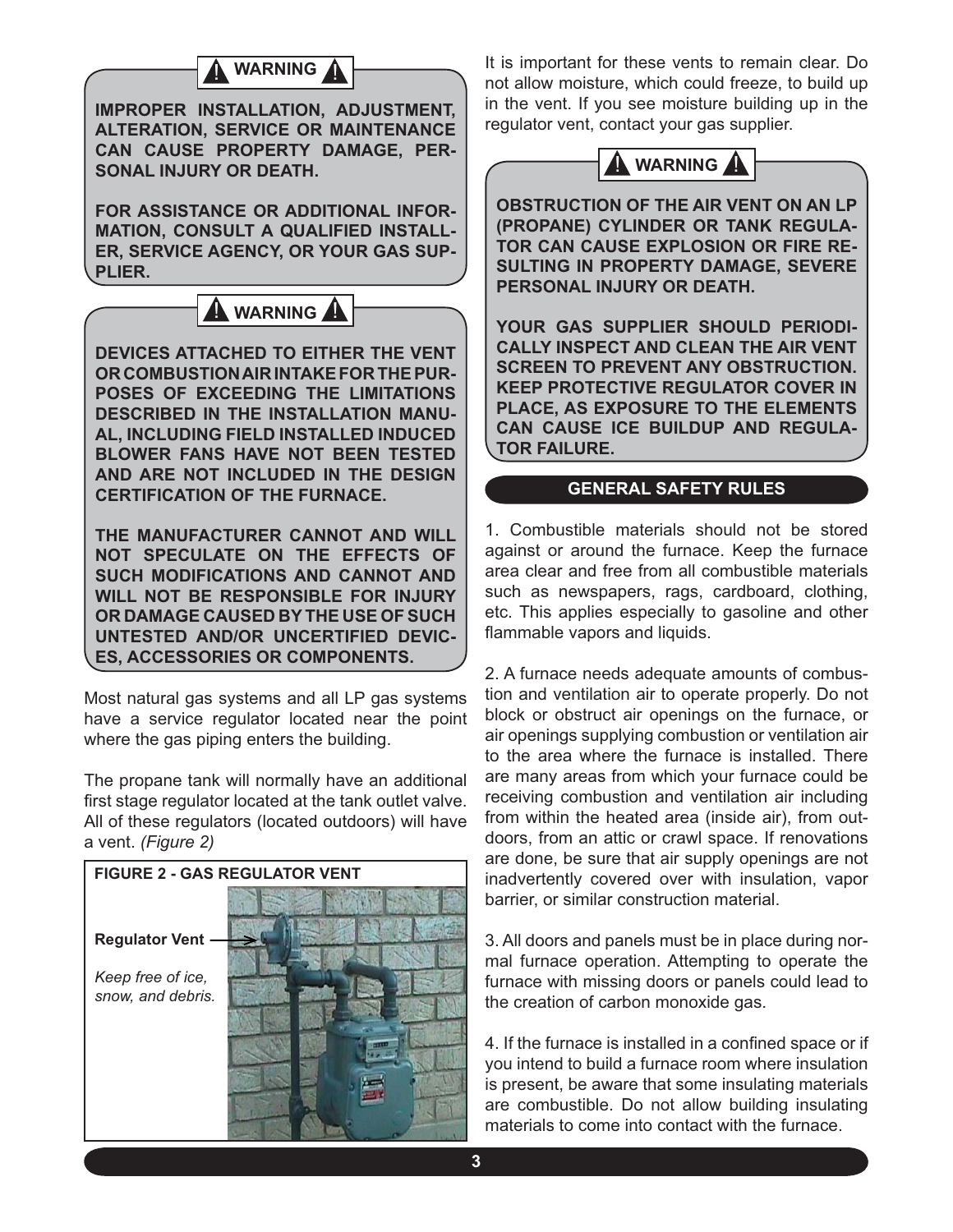## **WARNING**

**IMPROPER INSTALLATION, ADJUSTMENT, ALTERATION, SERVICE OR MAINTENANCE CAN CAUSE PROPERTY DAMAGE, PER-SONAL INJURY OR DEATH.**

**FOR ASSISTANCE OR ADDITIONAL INFOR-MATION, CONSULT A QUALIFIED INSTALL-ER, SERVICE AGENCY, OR YOUR GAS SUP-PLIER.**



**DEVICES ATTACHED TO EITHER THE VENT OR COMBUSTION AIR INTAKE FOR THE PUR-POSES OF EXCEEDING THE LIMITATIONS DESCRIBED IN THE INSTALLATION MANU-AL, INCLUDING FIELD INSTALLED INDUCED BLOWER FANS HAVE NOT BEEN TESTED AND ARE NOT INCLUDED IN THE DESIGN CERTIFICATION OF THE FURNACE.**

**THE MANUFACTURER CANNOT AND WILL NOT SPECULATE ON THE EFFECTS OF SUCH MODIFICATIONS AND CANNOT AND WILL NOT BE RESPONSIBLE FOR INJURY OR DAMAGE CAUSED BY THE USE OF SUCH UNTESTED AND/OR UNCERTIFIED DEVIC-ES, ACCESSORIES OR COMPONENTS.**

Most natural gas systems and all LP gas systems have a service regulator located near the point where the gas piping enters the building.

The propane tank will normally have an additional first stage regulator located at the tank outlet valve. All of these regulators (located outdoors) will have a vent. *(Figure 2)*



It is important for these vents to remain clear. Do not allow moisture, which could freeze, to build up in the vent. If you see moisture building up in the regulator vent, contact your gas supplier.



**OBSTRUCTION OF THE AIR VENT ON AN LP (PROPANE) CYLINDER OR TANK REGULA-TOR CAN CAUSE EXPLOSION OR FIRE RE-SULTING IN PROPERTY DAMAGE, SEVERE PERSONAL INJURY OR DEATH.**

**YOUR GAS SUPPLIER SHOULD PERIODI-CALLY INSPECT AND CLEAN THE AIR VENT SCREEN TO PREVENT ANY OBSTRUCTION. KEEP PROTECTIVE REGULATOR COVER IN PLACE, AS EXPOSURE TO THE ELEMENTS CAN CAUSE ICE BUILDUP AND REGULA-TOR FAILURE.**

#### **GENERAL SAFETY RULES**

1. Combustible materials should not be stored against or around the furnace. Keep the furnace area clear and free from all combustible materials such as newspapers, rags, cardboard, clothing, etc. This applies especially to gasoline and other flammable vapors and liquids.

2. A furnace needs adequate amounts of combustion and ventilation air to operate properly. Do not block or obstruct air openings on the furnace, or air openings supplying combustion or ventilation air to the area where the furnace is installed. There are many areas from which your furnace could be receiving combustion and ventilation air including from within the heated area (inside air), from outdoors, from an attic or crawl space. If renovations are done, be sure that air supply openings are not inadvertently covered over with insulation, vapor barrier, or similar construction material.

3. All doors and panels must be in place during normal furnace operation. Attempting to operate the furnace with missing doors or panels could lead to the creation of carbon monoxide gas.

4. If the furnace is installed in a confined space or if you intend to build a furnace room where insulation is present, be aware that some insulating materials are combustible. Do not allow building insulating materials to come into contact with the furnace.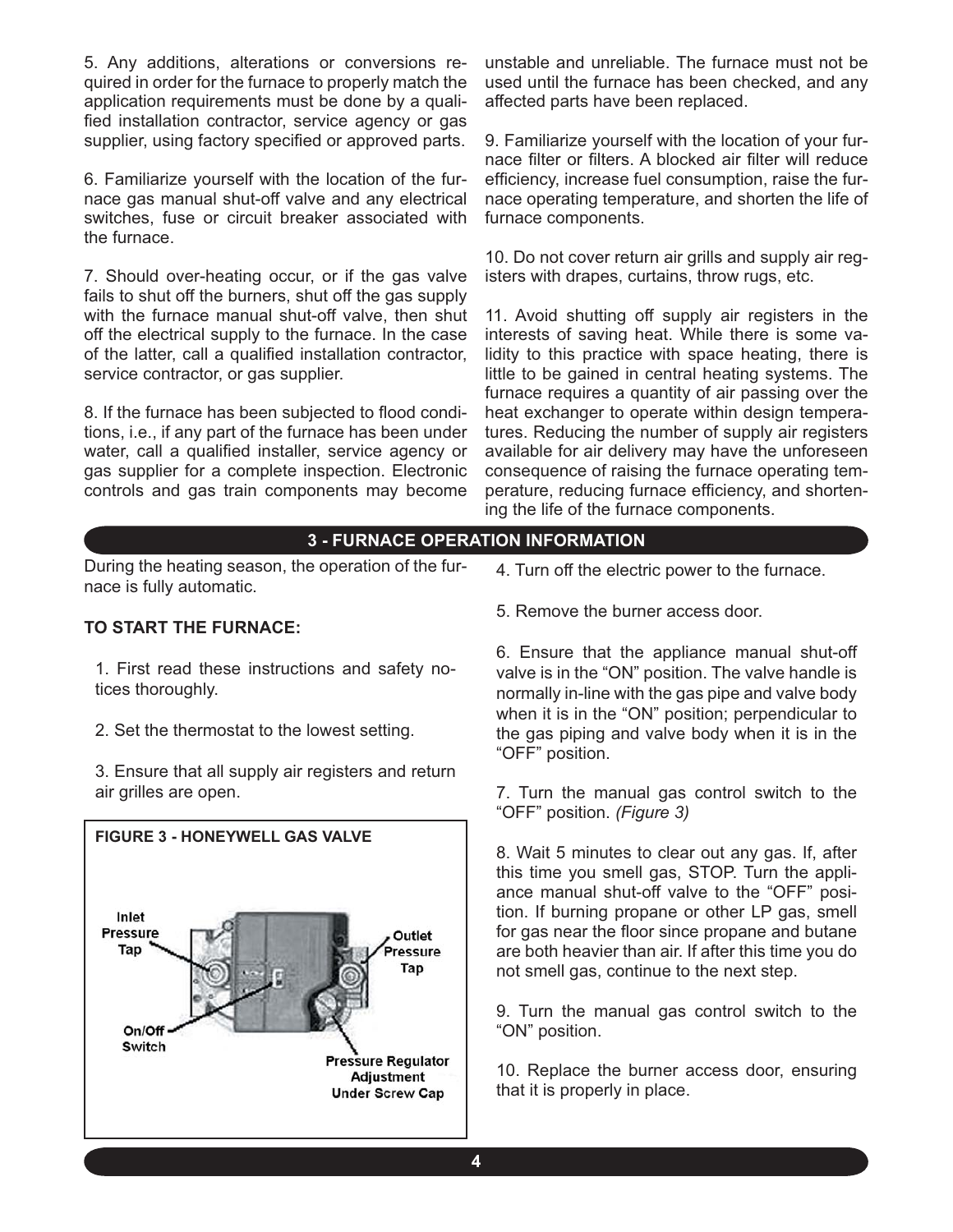5. Any additions, alterations or conversions required in order for the furnace to properly match the application requirements must be done by a qualified installation contractor, service agency or gas supplier, using factory specified or approved parts.

6. Familiarize yourself with the location of the furnace gas manual shut-off valve and any electrical switches, fuse or circuit breaker associated with the furnace.

7. Should over-heating occur, or if the gas valve fails to shut off the burners, shut off the gas supply with the furnace manual shut-off valve, then shut off the electrical supply to the furnace. In the case of the latter, call a qualified installation contractor, service contractor, or gas supplier.

8. If the furnace has been subjected to flood conditions, i.e., if any part of the furnace has been under water, call a qualified installer, service agency or gas supplier for a complete inspection. Electronic controls and gas train components may become

unstable and unreliable. The furnace must not be used until the furnace has been checked, and any affected parts have been replaced.

9. Familiarize yourself with the location of your furnace filter or filters. A blocked air filter will reduce efficiency, increase fuel consumption, raise the furnace operating temperature, and shorten the life of furnace components.

10. Do not cover return air grills and supply air registers with drapes, curtains, throw rugs, etc.

11. Avoid shutting off supply air registers in the interests of saving heat. While there is some validity to this practice with space heating, there is little to be gained in central heating systems. The furnace requires a quantity of air passing over the heat exchanger to operate within design temperatures. Reducing the number of supply air registers available for air delivery may have the unforeseen consequence of raising the furnace operating temperature, reducing furnace efficiency, and shortening the life of the furnace components.

## **3 - FURNACE OPERATION INFORMATION**

During the heating season, the operation of the furnace is fully automatic.

#### **TO START THE FURNACE:**

1. First read these instructions and safety notices thoroughly.

2. Set the thermostat to the lowest setting.

3. Ensure that all supply air registers and return air grilles are open.



- 4. Turn off the electric power to the furnace.
- 5. Remove the burner access door.

6. Ensure that the appliance manual shut-off valve is in the "ON" position. The valve handle is normally in-line with the gas pipe and valve body when it is in the "ON" position; perpendicular to the gas piping and valve body when it is in the "OFF" position.

7. Turn the manual gas control switch to the "OFF" position. *(Figure 3)*

8. Wait 5 minutes to clear out any gas. If, after this time you smell gas, STOP. Turn the appliance manual shut-off valve to the "OFF" position. If burning propane or other LP gas, smell for gas near the floor since propane and butane are both heavier than air. If after this time you do not smell gas, continue to the next step.

9. Turn the manual gas control switch to the "ON" position.

10. Replace the burner access door, ensuring that it is properly in place.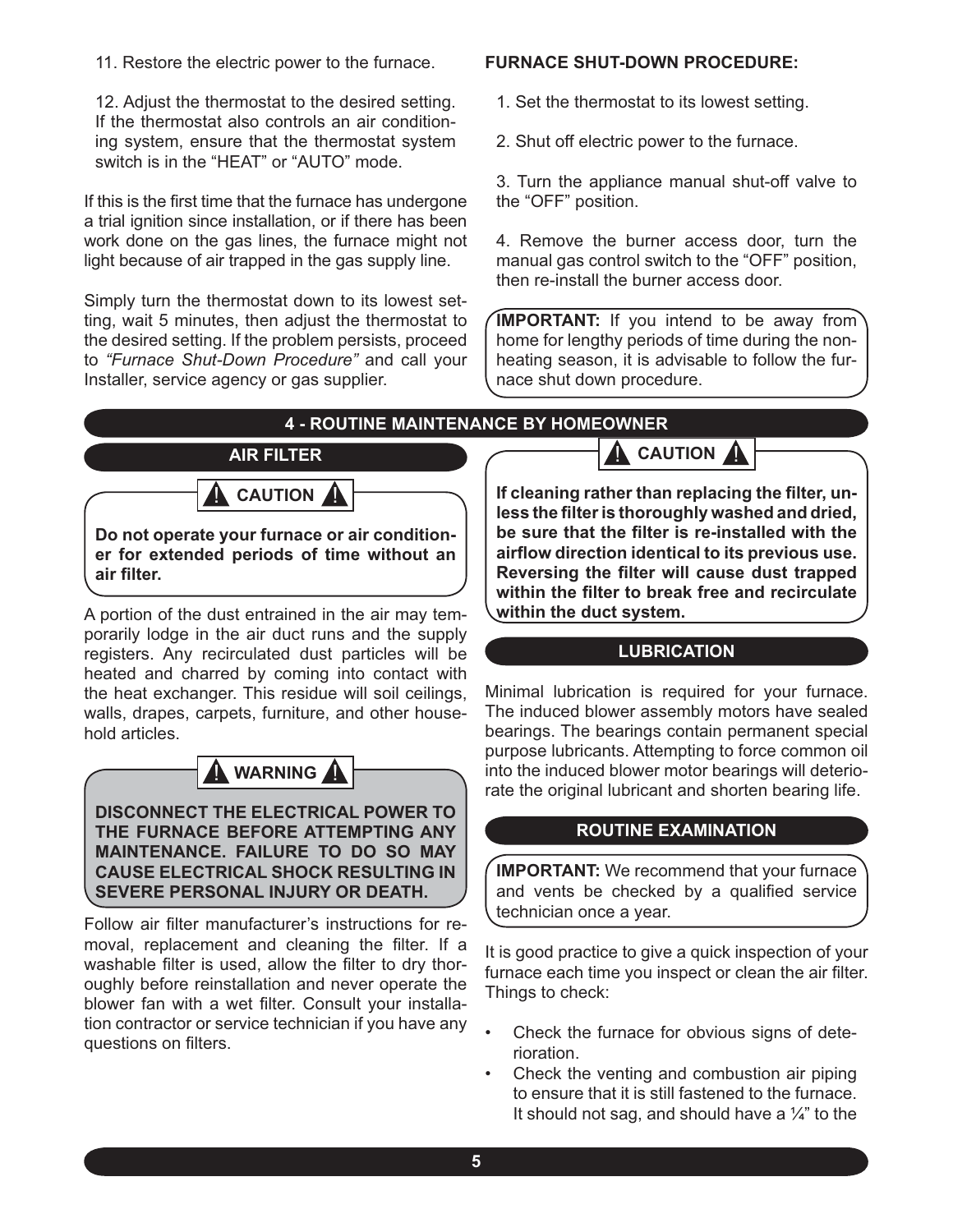11. Restore the electric power to the furnace.

12. Adjust the thermostat to the desired setting. If the thermostat also controls an air conditioning system, ensure that the thermostat system switch is in the "HEAT" or "AUTO" mode.

If this is the first time that the furnace has undergone a trial ignition since installation, or if there has been work done on the gas lines, the furnace might not light because of air trapped in the gas supply line.

Simply turn the thermostat down to its lowest setting, wait 5 minutes, then adjust the thermostat to the desired setting. If the problem persists, proceed to *"Furnace Shut-Down Procedure"* and call your Installer, service agency or gas supplier.

#### **FURNACE SHUT-DOWN PROCEDURE:**

1. Set the thermostat to its lowest setting.

2. Shut off electric power to the furnace.

3. Turn the appliance manual shut-off valve to the "OFF" position.

4. Remove the burner access door, turn the manual gas control switch to the "OFF" position, then re-install the burner access door.

**IMPORTANT:** If you intend to be away from home for lengthy periods of time during the nonheating season, it is advisable to follow the furnace shut down procedure.

## **4 - ROUTINE MAINTENANCE BY HOMEOWNER**



**Do not operate your furnace or air conditioner for extended periods of time without an air fi lter.**

A portion of the dust entrained in the air may temporarily lodge in the air duct runs and the supply registers. Any recirculated dust particles will be heated and charred by coming into contact with the heat exchanger. This residue will soil ceilings, walls, drapes, carpets, furniture, and other household articles.



**DISCONNECT THE ELECTRICAL POWER TO THE FURNACE BEFORE ATTEMPTING ANY MAINTENANCE. FAILURE TO DO SO MAY CAUSE ELECTRICAL SHOCK RESULTING IN SEVERE PERSONAL INJURY OR DEATH.**

Follow air filter manufacturer's instructions for removal, replacement and cleaning the filter. If a washable filter is used, allow the filter to dry thoroughly before reinstallation and never operate the blower fan with a wet filter. Consult your installation contractor or service technician if you have any questions on filters.

If cleaning rather than replacing the filter, unless the filter is thoroughly washed and dried, be sure that the filter is re-installed with the **airfl ow direction identical to its previous use. Reversing the filter will cause dust trapped** within the filter to break free and recirculate **within the duct system.**

**CAUTION** 

## **LUBRICATION**

Minimal lubrication is required for your furnace. The induced blower assembly motors have sealed bearings. The bearings contain permanent special purpose lubricants. Attempting to force common oil into the induced blower motor bearings will deteriorate the original lubricant and shorten bearing life.

#### **ROUTINE EXAMINATION**

**IMPORTANT:** We recommend that your furnace and vents be checked by a qualified service technician once a year.

It is good practice to give a quick inspection of your furnace each time you inspect or clean the air filter. Things to check:

- Check the furnace for obvious signs of deterioration. •
- Check the venting and combustion air piping to ensure that it is still fastened to the furnace. It should not sag, and should have a  $\frac{1}{4}$ " to the •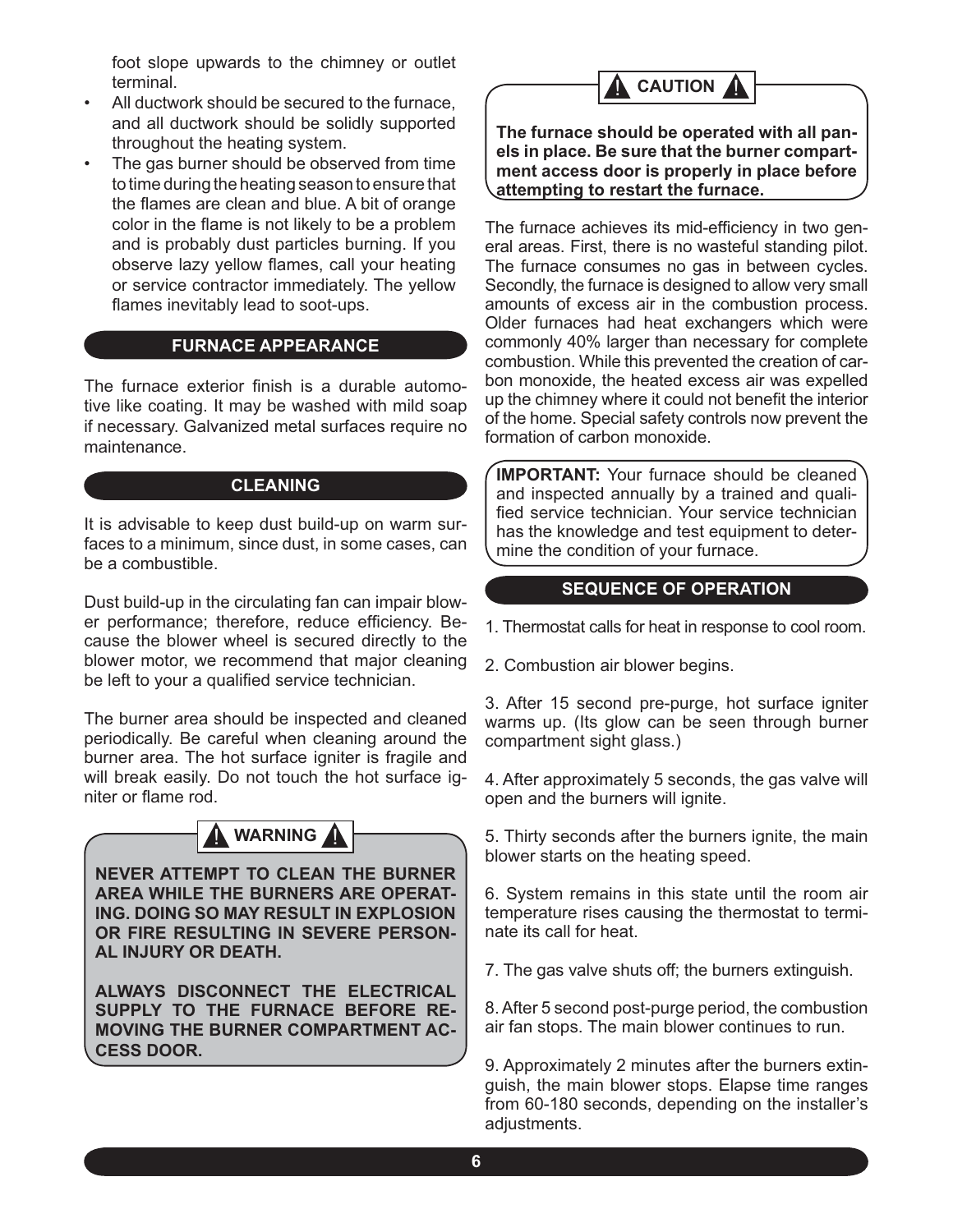foot slope upwards to the chimney or outlet terminal.

- All ductwork should be secured to the furnace, and all ductwork should be solidly supported throughout the heating system. •
- The gas burner should be observed from time to time during the heating season to ensure that the flames are clean and blue. A bit of orange color in the flame is not likely to be a problem and is probably dust particles burning. If you observe lazy yellow flames, call your heating or service contractor immediately. The yellow flames inevitably lead to soot-ups. •

## **FURNACE APPEARANCE**

The furnace exterior finish is a durable automotive like coating. It may be washed with mild soap if necessary. Galvanized metal surfaces require no maintenance.

#### **CLEANING**

It is advisable to keep dust build-up on warm surfaces to a minimum, since dust, in some cases, can be a combustible.

Dust build-up in the circulating fan can impair blower performance; therefore, reduce efficiency. Because the blower wheel is secured directly to the blower motor, we recommend that major cleaning be left to your a qualified service technician.

The burner area should be inspected and cleaned periodically. Be careful when cleaning around the burner area. The hot surface igniter is fragile and will break easily. Do not touch the hot surface igniter or flame rod.



**NEVER ATTEMPT TO CLEAN THE BURNER AREA WHILE THE BURNERS ARE OPERAT-ING. DOING SO MAY RESULT IN EXPLOSION OR FIRE RESULTING IN SEVERE PERSON-AL INJURY OR DEATH.**

**ALWAYS DISCONNECT THE ELECTRICAL SUPPLY TO THE FURNACE BEFORE RE-MOVING THE BURNER COMPARTMENT AC-CESS DOOR.**



**The furnace should be operated with all panels in place. Be sure that the burner compartment access door is properly in place before attempting to restart the furnace.**

The furnace achieves its mid-efficiency in two general areas. First, there is no wasteful standing pilot. The furnace consumes no gas in between cycles. Secondly, the furnace is designed to allow very small amounts of excess air in the combustion process. Older furnaces had heat exchangers which were commonly 40% larger than necessary for complete combustion. While this prevented the creation of carbon monoxide, the heated excess air was expelled up the chimney where it could not benefit the interior of the home. Special safety controls now prevent the formation of carbon monoxide.

**IMPORTANT:** Your furnace should be cleaned and inspected annually by a trained and qualified service technician. Your service technician has the knowledge and test equipment to determine the condition of your furnace.

## **SEQUENCE OF OPERATION**

1. Thermostat calls for heat in response to cool room.

2. Combustion air blower begins.

3. After 15 second pre-purge, hot surface igniter warms up. (Its glow can be seen through burner compartment sight glass.)

4. After approximately 5 seconds, the gas valve will open and the burners will ignite.

5. Thirty seconds after the burners ignite, the main blower starts on the heating speed.

6. System remains in this state until the room air temperature rises causing the thermostat to terminate its call for heat.

7. The gas valve shuts off; the burners extinguish.

8. After 5 second post-purge period, the combustion air fan stops. The main blower continues to run.

9. Approximately 2 minutes after the burners extinguish, the main blower stops. Elapse time ranges from 60-180 seconds, depending on the installer's adiustments.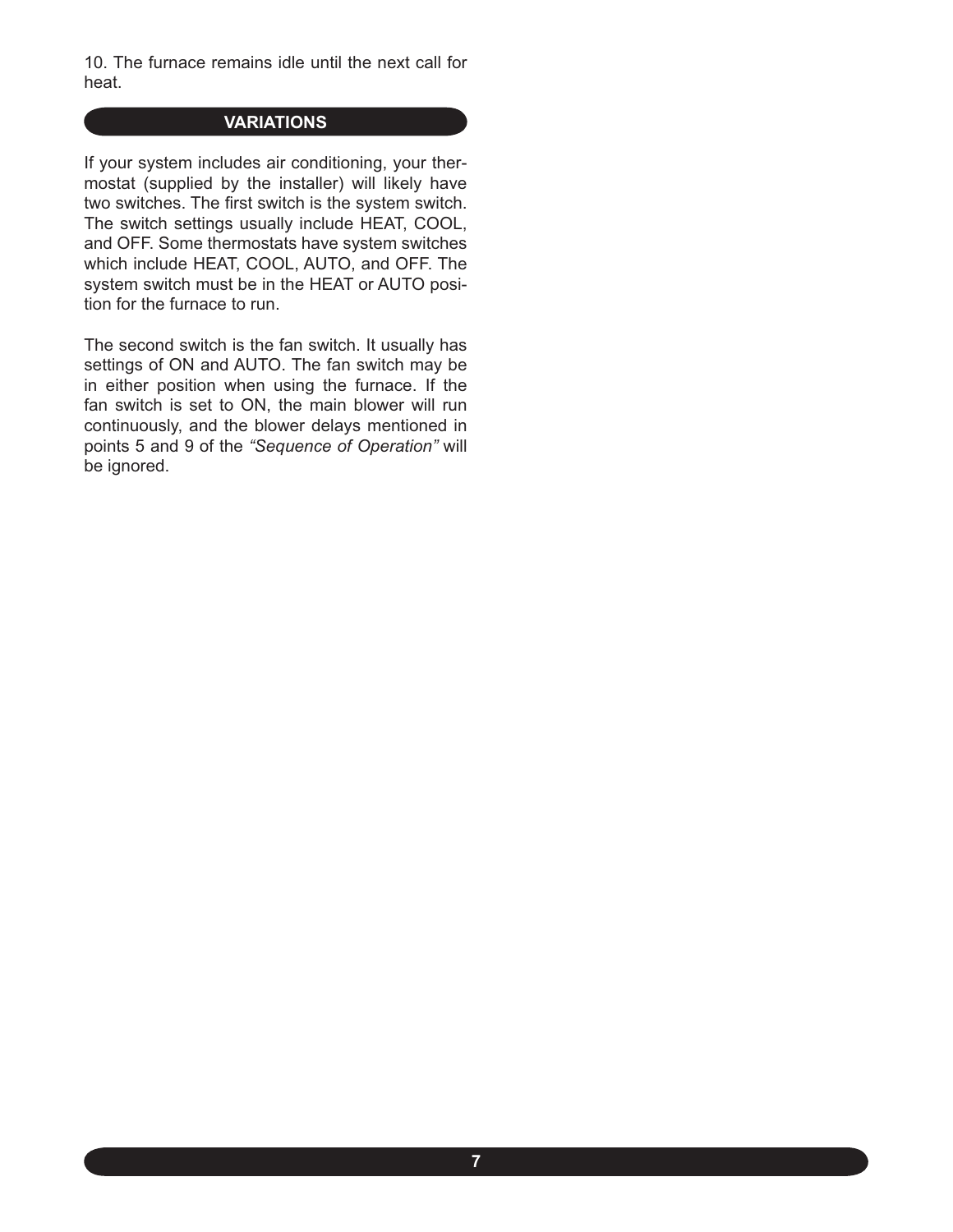10. The furnace remains idle until the next call for heat.

### **VARIATIONS**

If your system includes air conditioning, your thermostat (supplied by the installer) will likely have two switches. The first switch is the system switch. The switch settings usually include HEAT, COOL, and OFF. Some thermostats have system switches which include HEAT, COOL, AUTO, and OFF. The system switch must be in the HEAT or AUTO position for the furnace to run.

The second switch is the fan switch. It usually has settings of ON and AUTO. The fan switch may be in either position when using the furnace. If the fan switch is set to ON, the main blower will run continuously, and the blower delays mentioned in points 5 and 9 of the *"Sequence of Operation"* will be ignored.